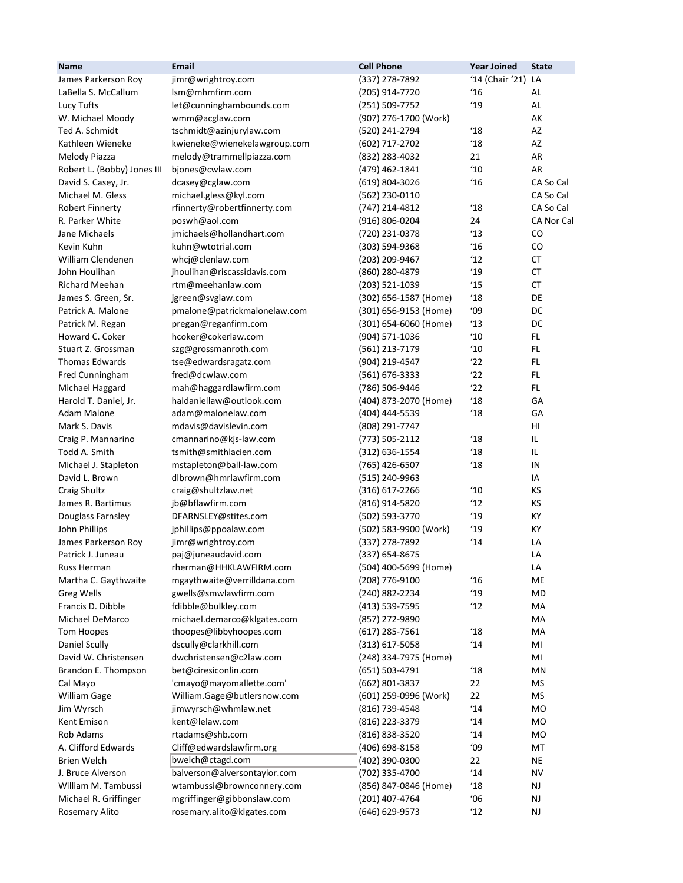| <b>Name</b>                        | Email                                    | <b>Cell Phone</b>                | <b>Year Joined</b> | <b>State</b>  |
|------------------------------------|------------------------------------------|----------------------------------|--------------------|---------------|
| James Parkerson Roy                | jimr@wrightroy.com                       | (337) 278-7892                   | '14 (Chair '21)    | LA            |
| LaBella S. McCallum                | lsm@mhmfirm.com                          | (205) 914-7720                   | '16                | AL            |
| Lucy Tufts                         | let@cunninghambounds.com                 | (251) 509-7752                   | '19                | AL            |
| W. Michael Moody                   | wmm@acglaw.com                           | (907) 276-1700 (Work)            |                    | АK            |
| Ted A. Schmidt                     | tschmidt@azinjurylaw.com                 | (520) 241-2794                   | $^{\prime}18$      | AZ            |
| Kathleen Wieneke                   | kwieneke@wienekelawgroup.com             | (602) 717-2702                   | $^{\prime}18$      | AZ            |
| Melody Piazza                      | melody@trammellpiazza.com                | (832) 283-4032                   | 21                 | AR            |
| Robert L. (Bobby) Jones III        | bjones@cwlaw.com                         | (479) 462-1841                   | 10                 | <b>AR</b>     |
| David S. Casey, Jr.                | dcasey@cglaw.com                         | (619) 804-3026                   | 16                 | CA So Cal     |
| Michael M. Gless                   | michael.gless@kyl.com                    | (562) 230-0110                   |                    | CA So Cal     |
| Robert Finnerty                    | rfinnerty@robertfinnerty.com             | (747) 214-4812                   | $^{\prime}18$      | CA So Cal     |
| R. Parker White                    | poswh@aol.com                            | (916) 806-0204                   | 24                 | CA Nor Cal    |
| Jane Michaels                      | jmichaels@hollandhart.com                | (720) 231-0378                   | 13                 | CO            |
| Kevin Kuhn                         | kuhn@wtotrial.com                        | (303) 594-9368                   | $^{\prime}16$      | CO            |
| William Clendenen                  | whcj@clenlaw.com                         | (203) 209-9467                   | $^{\prime}12$      | СT            |
| John Houlihan                      | jhoulihan@riscassidavis.com              | (860) 280-4879                   | '19                | <b>CT</b>     |
| <b>Richard Meehan</b>              | rtm@meehanlaw.com                        | (203) 521-1039                   | 15                 | <b>CT</b>     |
| James S. Green, Sr.                | jgreen@svglaw.com                        | (302) 656-1587 (Home)            | 18                 | DE            |
| Patrick A. Malone                  | pmalone@patrickmalonelaw.com             | (301) 656-9153 (Home)            | '09                | DC            |
| Patrick M. Regan                   | pregan@reganfirm.com                     | (301) 654-6060 (Home)            | 13                 | DC            |
| Howard C. Coker                    | hcoker@cokerlaw.com                      | (904) 571-1036                   | '10                | FL.           |
| Stuart Z. Grossman                 |                                          |                                  | 10                 | FL.           |
| Thomas Edwards                     | szg@grossmanroth.com                     | (561) 213-7179<br>(904) 219-4547 | '22                | FL.           |
|                                    | tse@edwardsragatz.com<br>fred@dcwlaw.com |                                  | '22                | FL.           |
| Fred Cunningham<br>Michael Haggard | mah@haggardlawfirm.com                   | (561) 676-3333<br>(786) 506-9446 | '22                | FL.           |
| Harold T. Daniel, Jr.              | haldaniellaw@outlook.com                 | (404) 873-2070 (Home)            | 18                 | GA            |
| <b>Adam Malone</b>                 | adam@malonelaw.com                       | (404) 444-5539                   | $^{\prime}18$      | GA            |
| Mark S. Davis                      | mdavis@davislevin.com                    | (808) 291-7747                   |                    | HI            |
| Craig P. Mannarino                 | cmannarino@kjs-law.com                   | (773) 505-2112                   | $^{\prime}18$      | IL.           |
| Todd A. Smith                      | tsmith@smithlacien.com                   | (312) 636-1554                   | $^{\prime}18$      | IL.           |
| Michael J. Stapleton               | mstapleton@ball-law.com                  | (765) 426-6507                   | $^{\prime}18$      | IN            |
| David L. Brown                     | dlbrown@hmrlawfirm.com                   | (515) 240-9963                   |                    | IA            |
| Craig Shultz                       | craig@shultzlaw.net                      | (316) 617-2266                   | $^{\prime}10$      | <b>KS</b>     |
| James R. Bartimus                  | jb@bflawfirm.com                         | (816) 914-5820                   | $^{\prime}12$      | КS            |
| Douglass Farnsley                  | DFARNSLEY@stites.com                     | (502) 593-3770                   | '19                | KY            |
| John Phillips                      | jphillips@ppoalaw.com                    | (502) 583-9900 (Work)            | 19                 | KY            |
| James Parkerson Roy                | jimr@wrightroy.com                       | (337) 278-7892                   | 14'                | LA            |
| Patrick J. Juneau                  | paj@juneaudavid.com                      | (337) 654-8675                   |                    | LA            |
| Russ Herman                        | rherman@HHKLAWFIRM.com                   | (504) 400-5699 (Home)            |                    | LA            |
| Martha C. Gaythwaite               | mgaythwaite@verrilldana.com              | (208) 776-9100                   | $^{\prime}16$      | ME            |
| <b>Greg Wells</b>                  | gwells@smwlawfirm.com                    | (240) 882-2234                   | 19                 | MD            |
| Francis D. Dibble                  | fdibble@bulkley.com                      | (413) 539-7595                   | 12                 | MA            |
| Michael DeMarco                    | michael.demarco@klgates.com              | (857) 272-9890                   |                    | MA            |
| <b>Tom Hoopes</b>                  | thoopes@libbyhoopes.com                  | $(617)$ 285-7561                 | $^{\prime}18$      | MA            |
| Daniel Scully                      | dscully@clarkhill.com                    | $(313) 617 - 5058$               | 14                 | MI            |
| David W. Christensen               | dwchristensen@c2law.com                  | (248) 334-7975 (Home)            |                    | MI            |
| Brandon E. Thompson                | bet@ciresiconlin.com                     | (651) 503-4791                   | 18                 | ΜN            |
| Cal Mayo                           | 'cmayo@mayomallette.com'                 | (662) 801-3837                   | 22                 | <b>MS</b>     |
| William Gage                       | William.Gage@butlersnow.com              | (601) 259-0996 (Work)            | 22                 | <b>MS</b>     |
| Jim Wyrsch                         | jimwyrsch@whmlaw.net                     | (816) 739-4548                   | 14                 | <b>MO</b>     |
| Kent Emison                        | kent@lelaw.com                           | (816) 223-3379                   | $^{\prime}14$      | <b>MO</b>     |
| Rob Adams                          | rtadams@shb.com                          | (816) 838-3520                   | $^{\prime}14$      | <b>MO</b>     |
| A. Clifford Edwards                | Cliff@edwardslawfirm.org                 | (406) 698-8158                   | '09                | MT            |
| <b>Brien Welch</b>                 | bwelch@ctagd.com                         | (402) 390-0300                   | 22                 | <b>NE</b>     |
| J. Bruce Alverson                  | balverson@alversontaylor.com             | (702) 335-4700                   | 14                 | <b>NV</b>     |
| William M. Tambussi                | wtambussi@brownconnery.com               | (856) 847-0846 (Home)            | $^{\prime}18$      | NJ.           |
| Michael R. Griffinger              | mgriffinger@gibbonslaw.com               | (201) 407-4764                   | '06                | $\mathsf{NJ}$ |
| Rosemary Alito                     | rosemary.alito@klgates.com               | (646) 629-9573                   | 12                 | <b>NJ</b>     |
|                                    |                                          |                                  |                    |               |